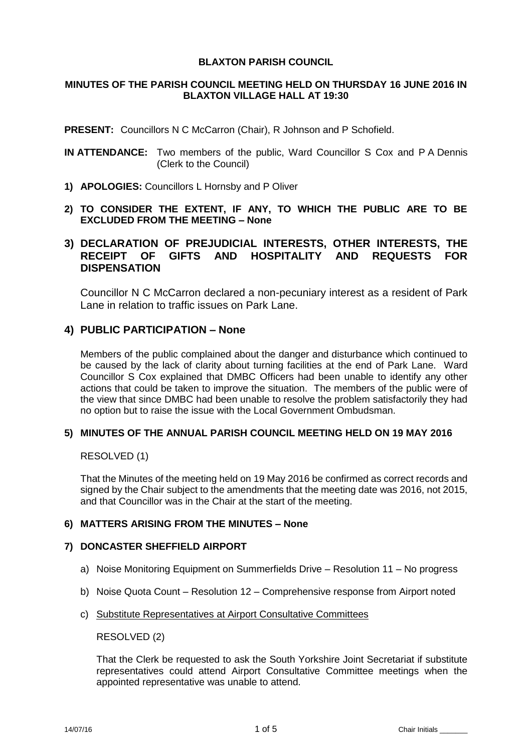# **BLAXTON PARISH COUNCIL**

# **MINUTES OF THE PARISH COUNCIL MEETING HELD ON THURSDAY 16 JUNE 2016 IN BLAXTON VILLAGE HALL AT 19:30**

**PRESENT:** Councillors N C McCarron (Chair), R Johnson and P Schofield.

- **IN ATTENDANCE:** Two members of the public, Ward Councillor S Cox and P A Dennis (Clerk to the Council)
- **1) APOLOGIES:** Councillors L Hornsby and P Oliver
- **2) TO CONSIDER THE EXTENT, IF ANY, TO WHICH THE PUBLIC ARE TO BE EXCLUDED FROM THE MEETING – None**

# **3) DECLARATION OF PREJUDICIAL INTERESTS, OTHER INTERESTS, THE RECEIPT OF GIFTS AND HOSPITALITY AND REQUESTS FOR DISPENSATION**

Councillor N C McCarron declared a non-pecuniary interest as a resident of Park Lane in relation to traffic issues on Park Lane.

# **4) PUBLIC PARTICIPATION – None**

Members of the public complained about the danger and disturbance which continued to be caused by the lack of clarity about turning facilities at the end of Park Lane. Ward Councillor S Cox explained that DMBC Officers had been unable to identify any other actions that could be taken to improve the situation. The members of the public were of the view that since DMBC had been unable to resolve the problem satisfactorily they had no option but to raise the issue with the Local Government Ombudsman.

# **5) MINUTES OF THE ANNUAL PARISH COUNCIL MEETING HELD ON 19 MAY 2016**

# RESOLVED (1)

That the Minutes of the meeting held on 19 May 2016 be confirmed as correct records and signed by the Chair subject to the amendments that the meeting date was 2016, not 2015, and that Councillor was in the Chair at the start of the meeting.

# **6) MATTERS ARISING FROM THE MINUTES – None**

# **7) DONCASTER SHEFFIELD AIRPORT**

- a) Noise Monitoring Equipment on Summerfields Drive Resolution 11 No progress
- b) Noise Quota Count Resolution 12 Comprehensive response from Airport noted
- c) Substitute Representatives at Airport Consultative Committees

RESOLVED (2)

That the Clerk be requested to ask the South Yorkshire Joint Secretariat if substitute representatives could attend Airport Consultative Committee meetings when the appointed representative was unable to attend.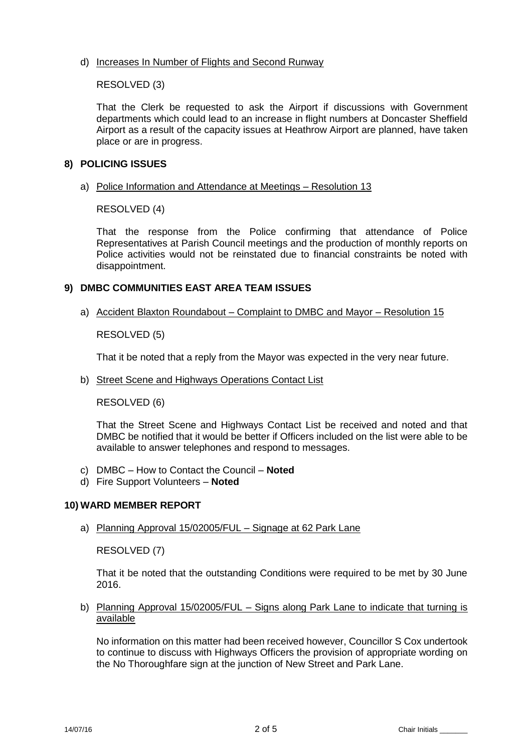# d) Increases In Number of Flights and Second Runway

RESOLVED (3)

That the Clerk be requested to ask the Airport if discussions with Government departments which could lead to an increase in flight numbers at Doncaster Sheffield Airport as a result of the capacity issues at Heathrow Airport are planned, have taken place or are in progress.

# **8) POLICING ISSUES**

a) Police Information and Attendance at Meetings – Resolution 13

RESOLVED (4)

That the response from the Police confirming that attendance of Police Representatives at Parish Council meetings and the production of monthly reports on Police activities would not be reinstated due to financial constraints be noted with disappointment.

# **9) DMBC COMMUNITIES EAST AREA TEAM ISSUES**

a) Accident Blaxton Roundabout – Complaint to DMBC and Mayor – Resolution 15

RESOLVED (5)

That it be noted that a reply from the Mayor was expected in the very near future.

b) Street Scene and Highways Operations Contact List

RESOLVED (6)

That the Street Scene and Highways Contact List be received and noted and that DMBC be notified that it would be better if Officers included on the list were able to be available to answer telephones and respond to messages.

- c) DMBC How to Contact the Council **Noted**
- d) Fire Support Volunteers **Noted**

# **10) WARD MEMBER REPORT**

a) Planning Approval 15/02005/FUL – Signage at 62 Park Lane

RESOLVED (7)

That it be noted that the outstanding Conditions were required to be met by 30 June 2016.

b) Planning Approval 15/02005/FUL – Signs along Park Lane to indicate that turning is available

No information on this matter had been received however, Councillor S Cox undertook to continue to discuss with Highways Officers the provision of appropriate wording on the No Thoroughfare sign at the junction of New Street and Park Lane.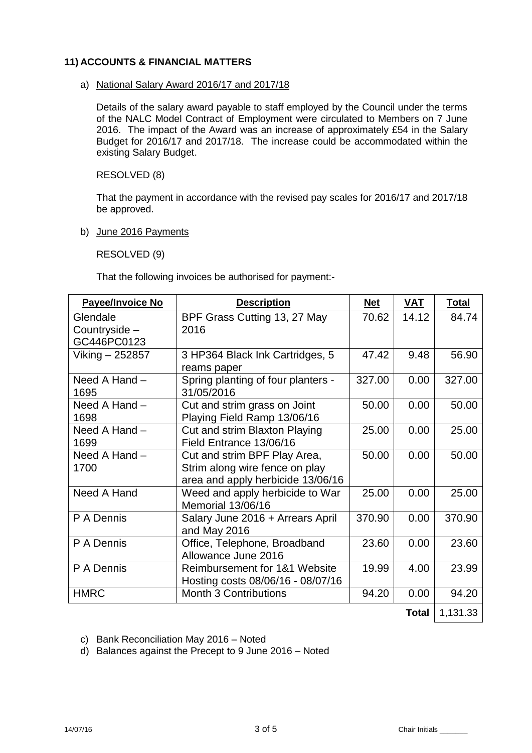# **11) ACCOUNTS & FINANCIAL MATTERS**

#### a) National Salary Award 2016/17 and 2017/18

Details of the salary award payable to staff employed by the Council under the terms of the NALC Model Contract of Employment were circulated to Members on 7 June 2016. The impact of the Award was an increase of approximately £54 in the Salary Budget for 2016/17 and 2017/18. The increase could be accommodated within the existing Salary Budget.

RESOLVED (8)

That the payment in accordance with the revised pay scales for 2016/17 and 2017/18 be approved.

b) June 2016 Payments

RESOLVED (9)

That the following invoices be authorised for payment:-

| <b>Payee/Invoice No</b> | <b>Description</b>                 | <b>Net</b> | VAT          | <b>Total</b> |
|-------------------------|------------------------------------|------------|--------------|--------------|
| Glendale                | BPF Grass Cutting 13, 27 May       | 70.62      | 14.12        | 84.74        |
| Countryside -           | 2016                               |            |              |              |
| GC446PC0123             |                                    |            |              |              |
| Viking – 252857         | 3 HP364 Black Ink Cartridges, 5    | 47.42      | 9.48         | 56.90        |
|                         | reams paper                        |            |              |              |
| Need A Hand -           | Spring planting of four planters - | 327.00     | 0.00         | 327.00       |
| 1695                    | 31/05/2016                         |            |              |              |
| Need A Hand -           | Cut and strim grass on Joint       | 50.00      | 0.00         | 50.00        |
| 1698                    | Playing Field Ramp 13/06/16        |            |              |              |
| Need A Hand -           | Cut and strim Blaxton Playing      | 25.00      | 0.00         | 25.00        |
| 1699                    | Field Entrance 13/06/16            |            |              |              |
| Need A Hand -           | Cut and strim BPF Play Area,       | 50.00      | 0.00         | 50.00        |
| 1700                    | Strim along wire fence on play     |            |              |              |
|                         | area and apply herbicide 13/06/16  |            |              |              |
| Need A Hand             | Weed and apply herbicide to War    | 25.00      | 0.00         | 25.00        |
|                         | Memorial 13/06/16                  |            |              |              |
| P A Dennis              | Salary June 2016 + Arrears April   | 370.90     | 0.00         | 370.90       |
|                         | and May 2016                       |            |              |              |
| P A Dennis              | Office, Telephone, Broadband       | 23.60      | 0.00         | 23.60        |
|                         | Allowance June 2016                |            |              |              |
| P A Dennis              | Reimbursement for 1&1 Website      | 19.99      | 4.00         | 23.99        |
|                         | Hosting costs 08/06/16 - 08/07/16  |            |              |              |
| <b>HMRC</b>             | <b>Month 3 Contributions</b>       | 94.20      | 0.00         | 94.20        |
|                         |                                    |            | <b>Total</b> | 1,131.33     |

c) Bank Reconciliation May 2016 – Noted

d) Balances against the Precept to 9 June 2016 – Noted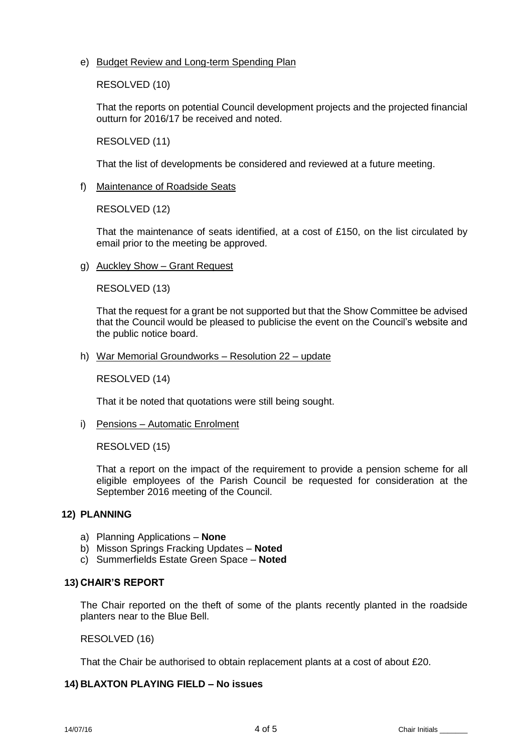e) Budget Review and Long-term Spending Plan

RESOLVED (10)

That the reports on potential Council development projects and the projected financial outturn for 2016/17 be received and noted.

RESOLVED (11)

That the list of developments be considered and reviewed at a future meeting.

f) Maintenance of Roadside Seats

RESOLVED (12)

That the maintenance of seats identified, at a cost of £150, on the list circulated by email prior to the meeting be approved.

g) Auckley Show – Grant Request

RESOLVED (13)

That the request for a grant be not supported but that the Show Committee be advised that the Council would be pleased to publicise the event on the Council's website and the public notice board.

h) War Memorial Groundworks – Resolution 22 – update

RESOLVED (14)

That it be noted that quotations were still being sought.

i) Pensions – Automatic Enrolment

RESOLVED (15)

That a report on the impact of the requirement to provide a pension scheme for all eligible employees of the Parish Council be requested for consideration at the September 2016 meeting of the Council.

# **12) PLANNING**

- a) Planning Applications **None**
- b) Misson Springs Fracking Updates **Noted**
- c) Summerfields Estate Green Space **Noted**

#### **13) CHAIR'S REPORT**

The Chair reported on the theft of some of the plants recently planted in the roadside planters near to the Blue Bell.

RESOLVED (16)

That the Chair be authorised to obtain replacement plants at a cost of about £20.

# **14) BLAXTON PLAYING FIELD – No issues**